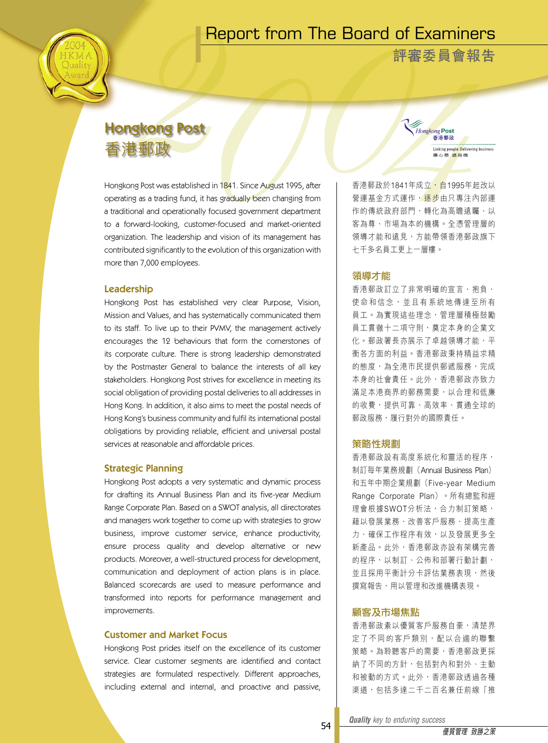## Report from The Board of Examiners

**評審委員會報告**

Hongkong Post 香港郵政

> Linking people Delivering business **信心意源商機**

# Hongkong Post 香港郵政

Hongkong Post was established in 1841. Since August 1995, after operating as a trading fund, it has gradually been changing from a traditional and operationally focused government department to a forward-looking, customer-focused and market-oriented organization. The leadership and vision of its management has contributed significantly to the evolution of this organization with more than 7,000 employees.

## Leadership

Hongkong Post has established very clear Purpose, Vision, Mission and Values, and has systematically communicated them to its staff. To live up to their PVMV, the management actively encourages the 12 behaviours that form the cornerstones of its corporate culture. There is strong leadership demonstrated by the Postmaster General to balance the interests of all key stakeholders. Hongkong Post strives for excellence in meeting its social obligation of providing postal deliveries to all addresses in Hong Kong. In addition, it also aims to meet the postal needs of Hong Kong's business community and fulfil its international postal obligations by providing reliable, efficient and universal postal services at reasonable and affordable prices.

## Strategic Planning

Hongkong Post adopts a very systematic and dynamic process for drafting its Annual Business Plan and its five-year Medium Range Corporate Plan. Based on a SWOT analysis, all directorates and managers work together to come up with strategies to grow business, improve customer service, enhance productivity, ensure process quality and develop alternative or new products. Moreover, a well-structured process for development, communication and deployment of action plans is in place. Balanced scorecards are used to measure performance and transformed into reports for performance management and improvements.

## Customer and Market Focus

Hongkong Post prides itself on the excellence of its customer service. Clear customer segments are identified and contact strategies are formulated respectively. Different approaches, including external and internal, and proactive and passive,

香港郵政於1841年成立,自1995年起改以 營運基金方式運作, <del>逐步</del>由只專注內部運 作的傳統政府部門,轉化為高瞻遠矚、以 客為尊、市場為本的機構。全憑管理層的 領導才能和遠見,方能帶領香港郵政旗下 七千多名員工更上一層樓。

## 領導才能

香港郵政訂立了非常明確的宣言、抱負、 使命和信念, 並且有系統地傳達至所有 員工。為實現這些理念,管理層積極鼓勵 員工貫徹十二項守則,奠定本身的企業文 化。郵政署長亦展示了卓越領導才能,平 衡各方面的利益。香港郵政秉持精益求精 的態度,為全港市民提供郵遞服務,完成 本身的社會責任。此外,香港郵政亦致力 滿足本港商界的郵務需要,以合理和低廉 的收費,提供可靠、高效率、貫通全球的 郵政服務,履行對外的國際責任。

## 策略性規劃

香港郵政設有高度系統化和靈活的程序, 制訂每年業務規劃(Annual Business Plan) 和五年中期企業規劃(Five-year Medium Range Corporate Plan)。所有總監和經 理會根據SWOT分析法,合力制訂策略, 藉以發展業務、改善客戶服務、提高生產 力、確保工作程序有效,以及發展更多全 新產品。此外,香港郵政亦設有架構完善 的程序,以制訂、公佈和部署行動計劃, 並且採用平衡計分卡評估業務表現,然後 撰寫報告,用以管理和改進機構表現。

## 顧客及市場焦點

香港郵政素以優質客戶服務自豪,清楚界 定了不同的客戶類別,配以合適的聯繫 策略。為聆聽客戶的需要,香港郵政更採 納了不同的方針,包括對內和對外、主動 和被動的方式。此外,香港郵政透過各種 渠道,包括多達二千二百名兼任前線「推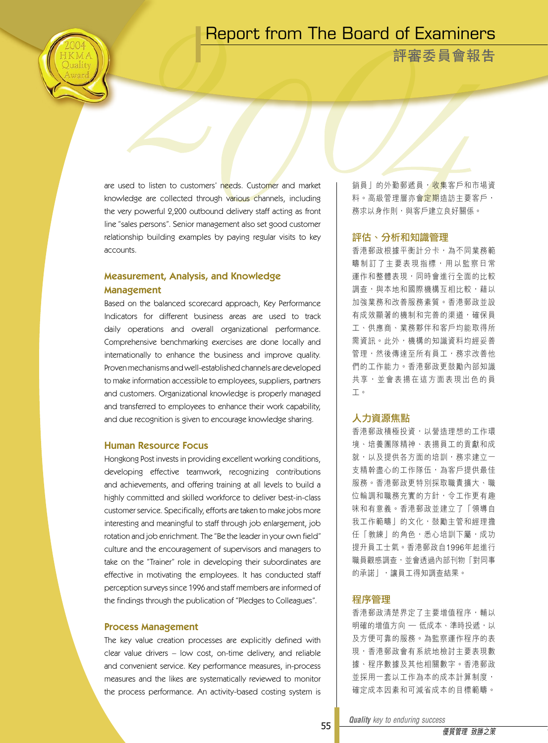## Report from The Board of Examiners

**評審委員會報告**

are used to listen to customers' needs. Customer and market knowledge are collected through various channels, including the very powerful 2,200 outbound delivery staff acting as front line "sales persons". Senior management also set good customer relationship building examples by paying regular visits to key accounts.

## Measurement, Analysis, and Knowledge Management

Based on the balanced scorecard approach, Key Performance Indicators for different business areas are used to track daily operations and overall organizational performance. Comprehensive benchmarking exercises are done locally and internationally to enhance the business and improve quality. Proven mechanisms and well-established channels are developed to make information accessible to employees, suppliers, partners and customers. Organizational knowledge is properly managed and transferred to employees to enhance their work capability, and due recognition is given to encourage knowledge sharing.

## Human Resource Focus

Hongkong Post invests in providing excellent working conditions, developing effective teamwork, recognizing contributions and achievements, and offering training at all levels to build a highly committed and skilled workforce to deliver best-in-class customer service. Specifically, efforts are taken to make jobs more interesting and meaningful to staff through job enlargement, job rotation and job enrichment. The "Be the leader in your own field" culture and the encouragement of supervisors and managers to take on the "Trainer" role in developing their subordinates are effective in motivating the employees. It has conducted staff perception surveys since 1996 and staff members are informed of the findings through the publication of "Pledges to Colleagues".

#### Process Management

The key value creation processes are explicitly defined with clear value drivers – low cost, on-time delivery, and reliable and convenient service. Key performance measures, in-process measures and the likes are systematically reviewed to monitor the process performance. An activity-based costing system is

銷員」的外勤郵遞員, 收集客戶和市場資 料。高級管理層亦會<mark>定期</mark>浩訪主要客戶, 務求以身作則,與客戶建立良好關係。

## 評估、分析和知識管理

香港郵政根據平衡計分卡,為不同業務範 疇制訂了主要表現指標,用以監察日常 運作和整體表現,同時會進行全面的比較 調杳,與本地和國際機構互相比較,藉以 加強業務和改善服務素質。香港郵政並設 有成效顯著的機制和完善的渠道,確保員 工、供應商、業務夥伴和客戶均能取得所 需資訊。此外,機構的知識資料均經妥善 管理,然後傳達至所有員工,務求改善他 們的工作能力。香港郵政更鼓勵內部知識 共享, 並會表揚在這方面表現出色的員 工。

## 人力資源焦點

香港郵政積極投資,以營造理想的工作環 境、培養團隊精神、表揚員工的貢獻和成 就,以及提供各方面的培訓,務求建立一 支精幹盡心的工作隊伍,為客戶提供最佳 服務。香港郵政更特別採取職責擴大、職 位輪調和職務充實的方針,令工作更有趣 味和有意義。香港郵政並建立了「領導自 我工作範疇」的文化,鼓勵主管和經理擔 任「教練」的角色,悉心培訓下屬,成功 提升員工士氣。香港郵政自1996年起進行 職員觀感調查,並會透過內部刊物「對同事 的承諾」,讓員工得知調查結果。

#### 程序管理

香港郵政清楚界定了主要增值程序,輔以 明確的增值方向 — 低成本、準時投遞,以 及方便可靠的服務。為監察運作程序的表 現,香港郵政會有系統地檢討主要表現數 據、程序數據及其他相關數字。香港郵政 並採用一套以工作為本的成本計算制度, 確定成本因素和可減省成本的目標範疇。

*Quality key to enduring success Quality key to enduring success*